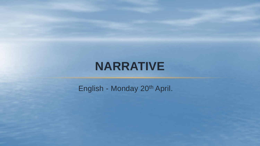## **NARRATIVE**

English - Monday 20<sup>th</sup> April.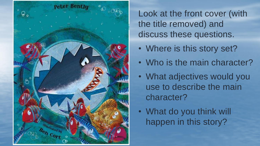

Look at the front cover (with the title removed) and discuss these questions.

- Where is this story set?
- Who is the main character?
- What adjectives would you use to describe the main character?
- What do you think will happen in this story?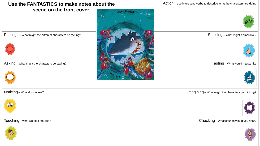